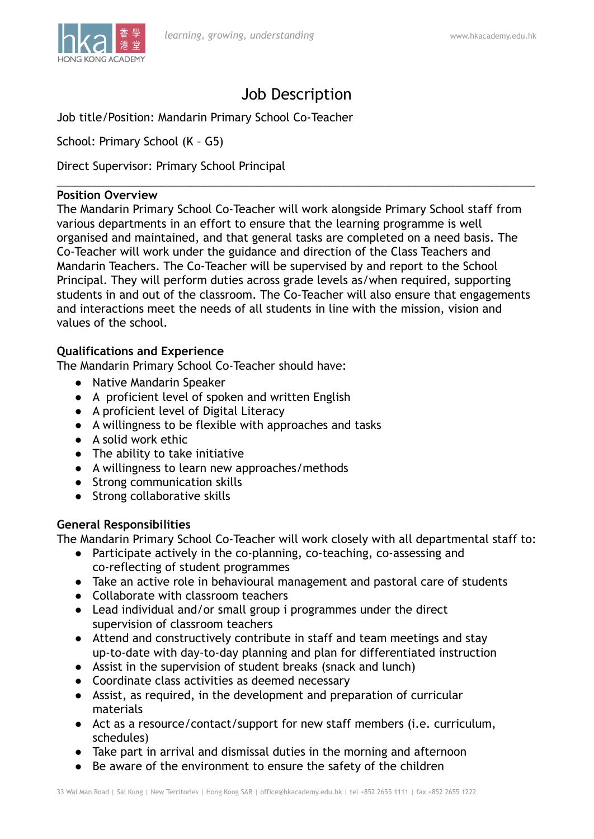

# Job Description

\_\_\_\_\_\_\_\_\_\_\_\_\_\_\_\_\_\_\_\_\_\_\_\_\_\_\_\_\_\_\_\_\_\_\_\_\_\_\_\_\_\_\_\_\_\_\_\_\_\_\_\_\_\_\_\_\_\_\_\_\_\_\_\_\_\_\_\_\_\_\_\_\_\_\_\_\_\_\_\_\_\_\_\_\_\_\_\_\_\_\_\_\_\_\_\_\_\_\_\_\_\_\_\_\_\_\_\_

Job title/Position: Mandarin Primary School Co-Teacher

School: Primary School (K – G5)

Direct Supervisor: Primary School Principal

## **Position Overview**

The Mandarin Primary School Co-Teacher will work alongside Primary School staff from various departments in an effort to ensure that the learning programme is well organised and maintained, and that general tasks are completed on a need basis. The Co-Teacher will work under the guidance and direction of the Class Teachers and Mandarin Teachers. The Co-Teacher will be supervised by and report to the School Principal. They will perform duties across grade levels as/when required, supporting students in and out of the classroom. The Co-Teacher will also ensure that engagements and interactions meet the needs of all students in line with the mission, vision and values of the school.

## **Qualifications and Experience**

The Mandarin Primary School Co-Teacher should have:

- Native Mandarin Speaker
- A proficient level of spoken and written English
- A proficient level of Digital Literacy
- A willingness to be flexible with approaches and tasks
- A solid work ethic
- The ability to take initiative
- A willingness to learn new approaches/methods
- Strong communication skills
- Strong collaborative skills

### **General Responsibilities**

The Mandarin Primary School Co-Teacher will work closely with all departmental staff to:

- Participate actively in the co-planning, co-teaching, co-assessing and co-reflecting of student programmes
- Take an active role in behavioural management and pastoral care of students
- Collaborate with classroom teachers
- Lead individual and/or small group i programmes under the direct supervision of classroom teachers
- Attend and constructively contribute in staff and team meetings and stay up-to-date with day-to-day planning and plan for differentiated instruction
- Assist in the supervision of student breaks (snack and lunch)
- Coordinate class activities as deemed necessary
- Assist, as required, in the development and preparation of curricular materials
- Act as a resource/contact/support for new staff members (i.e. curriculum, schedules)
- Take part in arrival and dismissal duties in the morning and afternoon
- Be aware of the environment to ensure the safety of the children